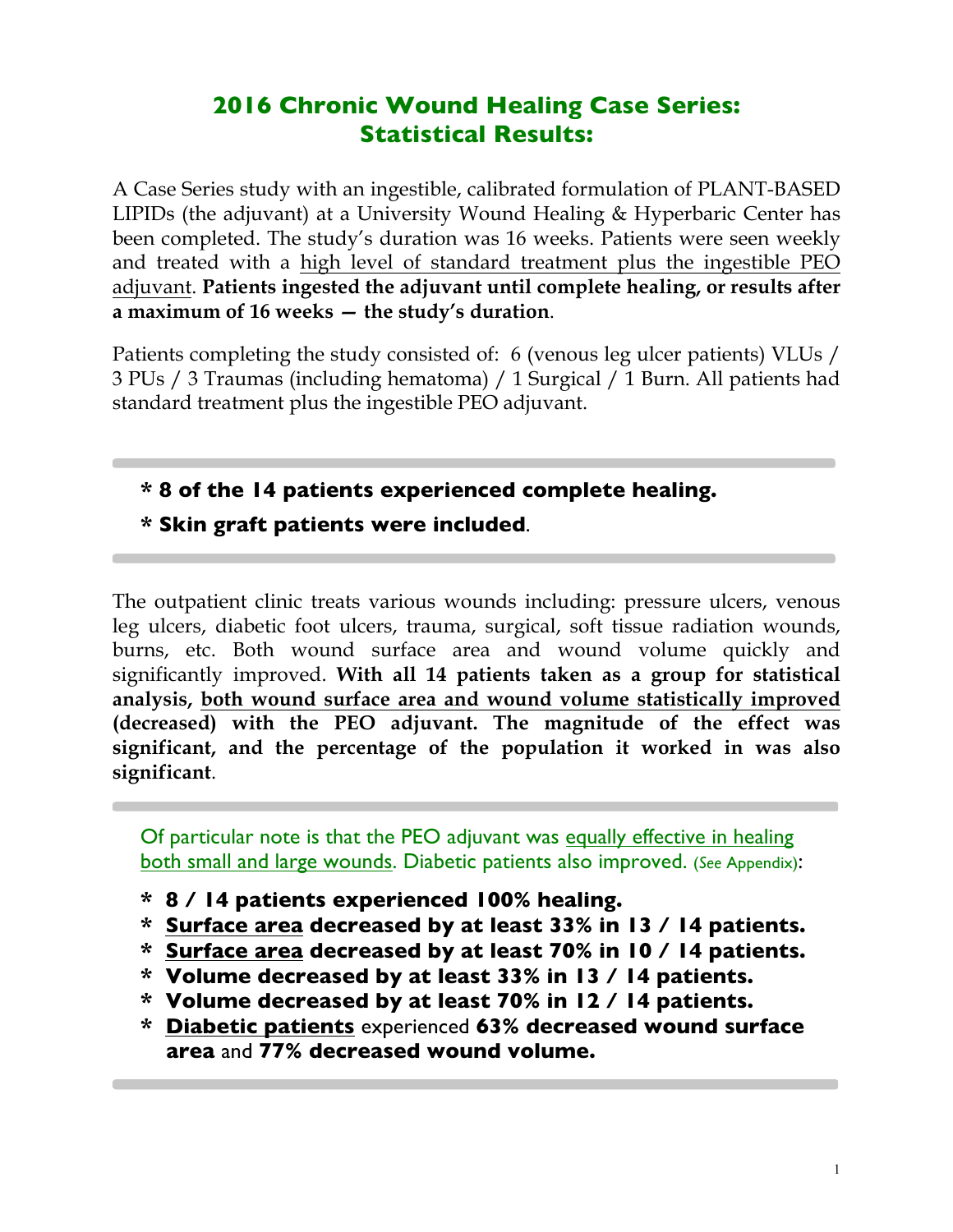# **2016 Chronic Wound Healing Case Series: Statistical Results:**

A Case Series study with an ingestible, calibrated formulation of PLANT-BASED LIPIDs (the adjuvant) at a University Wound Healing & Hyperbaric Center has been completed. The study's duration was 16 weeks. Patients were seen weekly and treated with a high level of standard treatment plus the ingestible PEO adjuvant. **Patients ingested the adjuvant until complete healing, or results after a maximum of 16 weeks — the study's duration**.

Patients completing the study consisted of: 6 (venous leg ulcer patients) VLUs / 3 PUs / 3 Traumas (including hematoma) / 1 Surgical / 1 Burn. All patients had standard treatment plus the ingestible PEO adjuvant.

## **\* 8 of the 14 patients experienced complete healing.**

**\* Skin graft patients were included**.

The outpatient clinic treats various wounds including: pressure ulcers, venous leg ulcers, diabetic foot ulcers, trauma, surgical, soft tissue radiation wounds, burns, etc. Both wound surface area and wound volume quickly and significantly improved. **With all 14 patients taken as a group for statistical analysis, both wound surface area and wound volume statistically improved (decreased) with the PEO adjuvant. The magnitude of the effect was significant, and the percentage of the population it worked in was also significant**.

Of particular note is that the PEO adjuvant was equally effective in healing both small and large wounds. Diabetic patients also improved. (*See* Appendix):

- **\* 8 / 14 patients experienced 100% healing.**
- **\* Surface area decreased by at least 33% in 13 / 14 patients.**
- **\* Surface area decreased by at least 70% in 10 / 14 patients.**
- **\* Volume decreased by at least 33% in 13 / 14 patients.**
- **\* Volume decreased by at least 70% in 12 / 14 patients.**
- **\* Diabetic patients** experienced **63% decreased wound surface area** and **77% decreased wound volume.**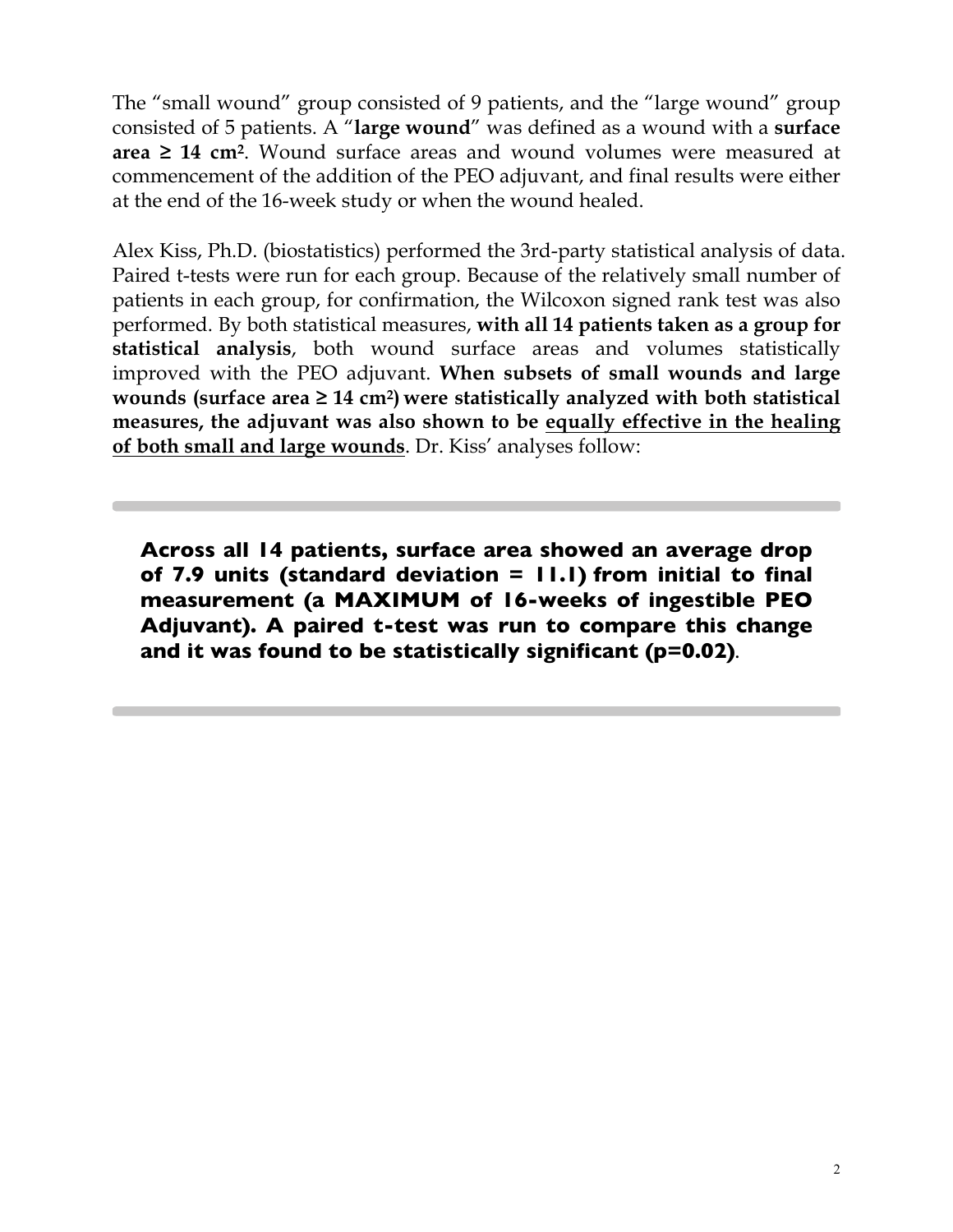The "small wound" group consisted of 9 patients, and the "large wound" group consisted of 5 patients. A "**large wound**" was defined as a wound with a **surface area ≥ 14 cm2**. Wound surface areas and wound volumes were measured at commencement of the addition of the PEO adjuvant, and final results were either at the end of the 16-week study or when the wound healed.

Alex Kiss, Ph.D. (biostatistics) performed the 3rd-party statistical analysis of data. Paired t-tests were run for each group. Because of the relatively small number of patients in each group, for confirmation, the Wilcoxon signed rank test was also performed. By both statistical measures, **with all 14 patients taken as a group for statistical analysis**, both wound surface areas and volumes statistically improved with the PEO adjuvant. **When subsets of small wounds and large wounds (surface area ≥ 14 cm2) were statistically analyzed with both statistical measures, the adjuvant was also shown to be equally effective in the healing of both small and large wounds**. Dr. Kiss' analyses follow:

**Across all 14 patients, surface area showed an average drop of 7.9 units (standard deviation = 11.1) from initial to final measurement (a MAXIMUM of 16-weeks of ingestible PEO Adjuvant). A paired t-test was run to compare this change and it was found to be statistically significant (p=0.02)**.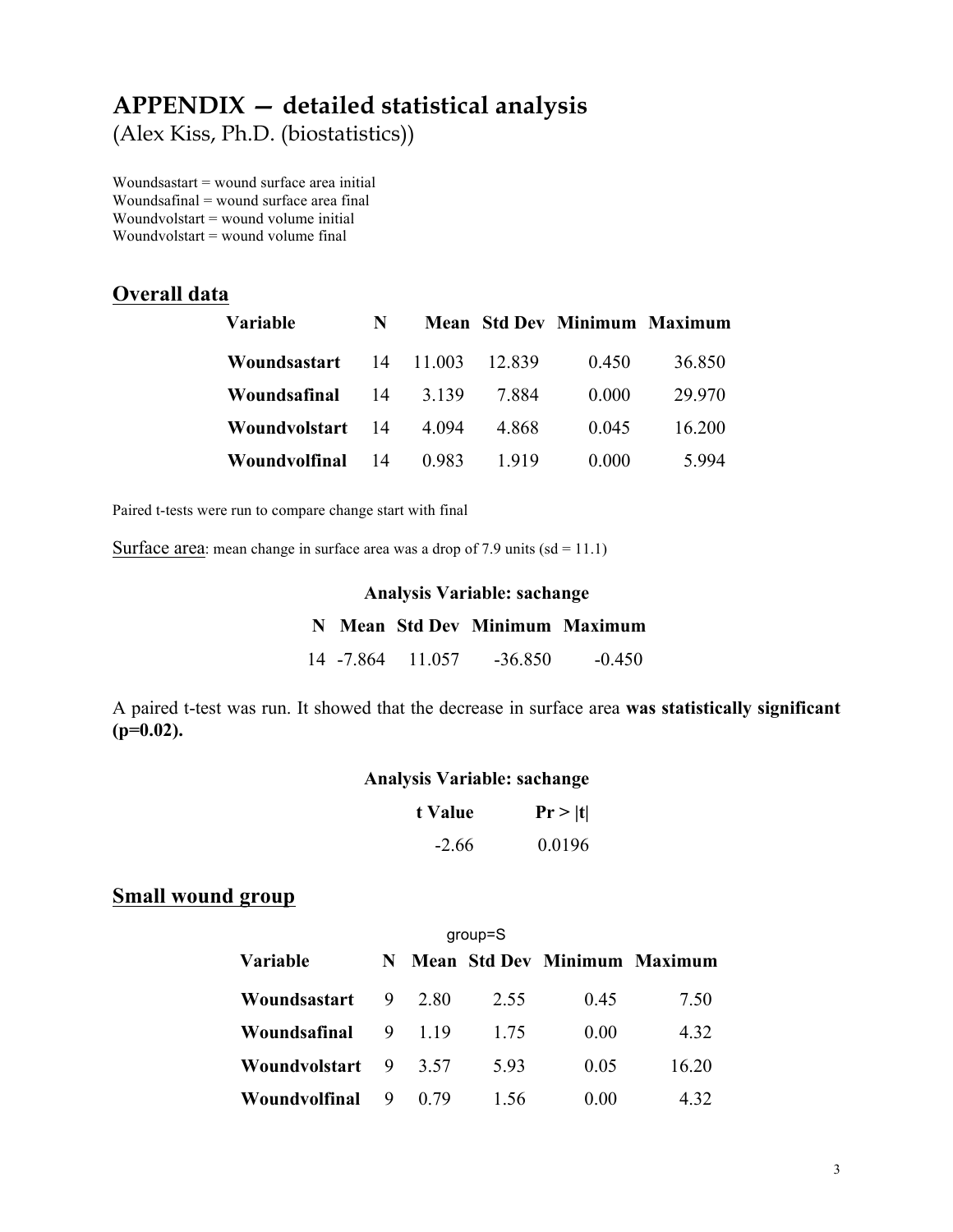# **APPENDIX — detailed statistical analysis**

(Alex Kiss, Ph.D. (biostatistics))

Woundsastart = wound surface area initial Woundsafinal = wound surface area final Woundvolstart = wound volume initial Woundvolstart = wound volume final

## **Overall data**

| Variable      | N  |         |        | <b>Mean Std Dev Minimum Maximum</b> |        |
|---------------|----|---------|--------|-------------------------------------|--------|
| Woundsastart  | 14 | 11 003  | 12.839 | 0.450                               | 36.850 |
| Woundsafinal  | 14 | 3 1 3 9 | 7 884  | 0.000                               | 29 970 |
| Woundvolstart | 14 | 4 094   | 4 868  | 0.045                               | 16 200 |
| Woundvolfinal | 14 | 0.983   | 1919   | 0.000                               | 5 994  |

Paired t-tests were run to compare change start with final

Surface area: mean change in surface area was a drop of  $7.9$  units (sd = 11.1)

## **Analysis Variable: sachange**

|  |                   | N Mean Std Dev Minimum Maximum |          |
|--|-------------------|--------------------------------|----------|
|  | 14 - 7.864 11.057 | $-36.850$                      | $-0.450$ |

A paired t-test was run. It showed that the decrease in surface area **was statistically significant (p=0.02).**

## **Analysis Variable: sachange**

| t Value | Pr >  t |
|---------|---------|
| $-2.66$ | 0.0196  |

## **Small wound group**

| $group = S$     |    |      |      |      |                                     |  |  |  |
|-----------------|----|------|------|------|-------------------------------------|--|--|--|
| <b>Variable</b> | N. |      |      |      | <b>Mean Std Dev Minimum Maximum</b> |  |  |  |
| Woundsastart    | 9  | 2.80 | 2.55 | 0.45 | 7.50                                |  |  |  |
| Woundsafinal    | 9  | 119  | 1.75 | 0.00 | 4 3 2                               |  |  |  |
| Woundvolstart   | 9  | 3.57 | 593  | 0.05 | 16.20                               |  |  |  |
| Woundvolfinal   | 9  | (179 | 1.56 | 0.00 | 432                                 |  |  |  |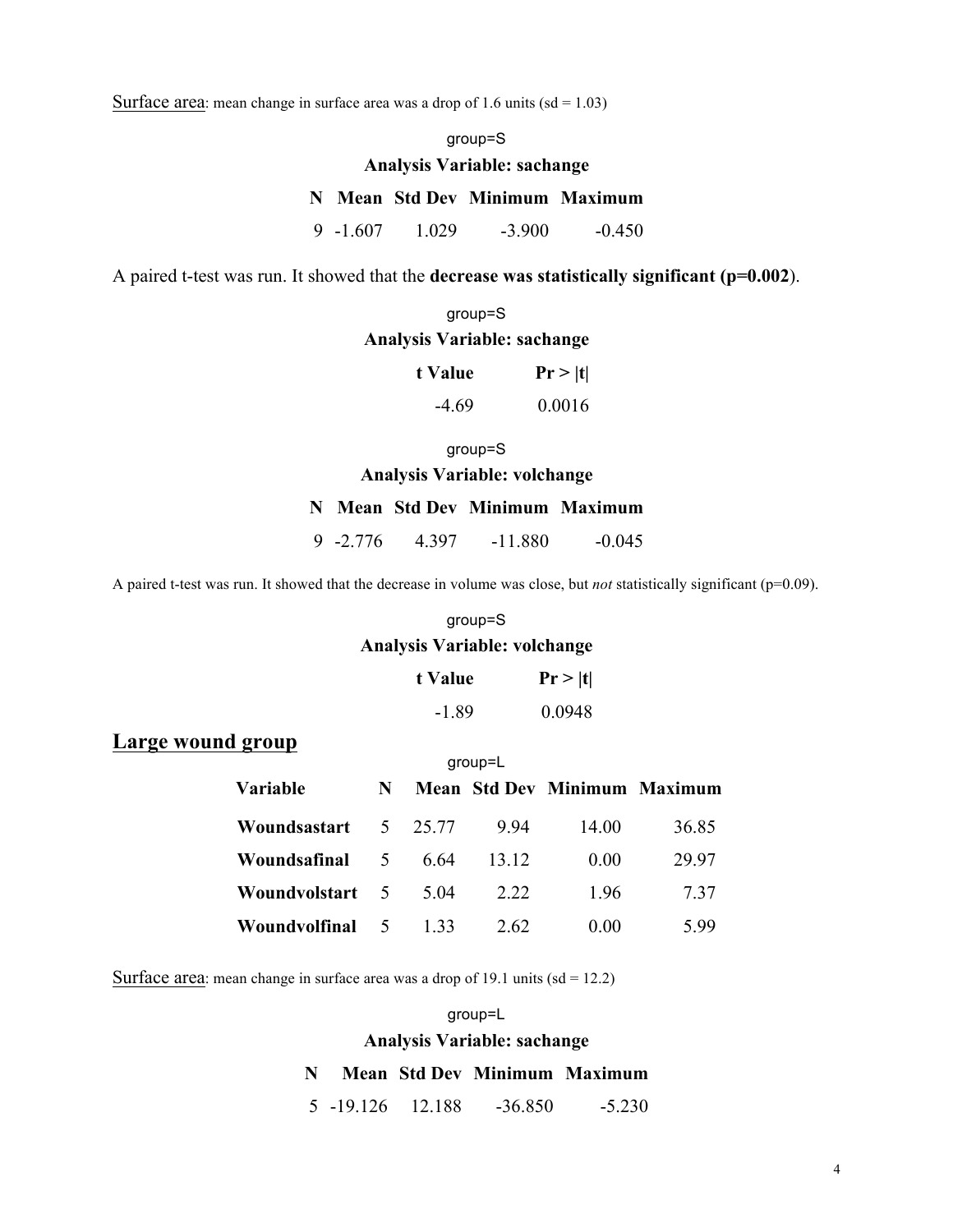Surface area: mean change in surface area was a drop of 1.6 units  $(sd = 1.03)$ 

group=S

## **Analysis Variable: sachange**

## **N Mean Std Dev Minimum Maximum**

9 -1.607 1.029 -3.900 -0.450

A paired t-test was run. It showed that the **decrease was statistically significant (p=0.002**).

# group=S **Analysis Variable: sachange**

| t Value | Pr >  t |
|---------|---------|
| $-4.69$ | 0.0016  |

#### group=S

**Analysis Variable: volchange** 

### **N Mean Std Dev Minimum Maximum**

9 -2.776 4.397 -11.880 -0.045

A paired t-test was run. It showed that the decrease in volume was close, but *not* statistically significant (p=0.09).

#### group=S

## **Analysis Variable: volchange**

| t Value | Pr >  t |
|---------|---------|
| -1.89   | 0.0948  |

## **Large wound group**

| $qroup=L$       |                |         |       |                                     |       |  |  |  |
|-----------------|----------------|---------|-------|-------------------------------------|-------|--|--|--|
| <b>Variable</b> | N              |         |       | <b>Mean Std Dev Minimum Maximum</b> |       |  |  |  |
| Woundsastart    |                | 5 25 77 | 994   | 14.00                               | 36.85 |  |  |  |
| Woundsafinal    | 5 <sup>5</sup> | 6.64    | 13 12 | 0.00                                | 29.97 |  |  |  |
| Woundvolstart 5 |                | 5 04    | 2 2 2 | 196                                 | 7.37  |  |  |  |
| Woundvolfinal   | 5              | 1 33    | 2.62  | 0.00                                | 599   |  |  |  |

Surface area: mean change in surface area was a drop of 19.1 units  $(sd = 12.2)$ 

#### group=L

### **Analysis Variable: sachange**

#### **N Mean Std Dev Minimum Maximum**

5 -19.126 12.188 -36.850 -5.230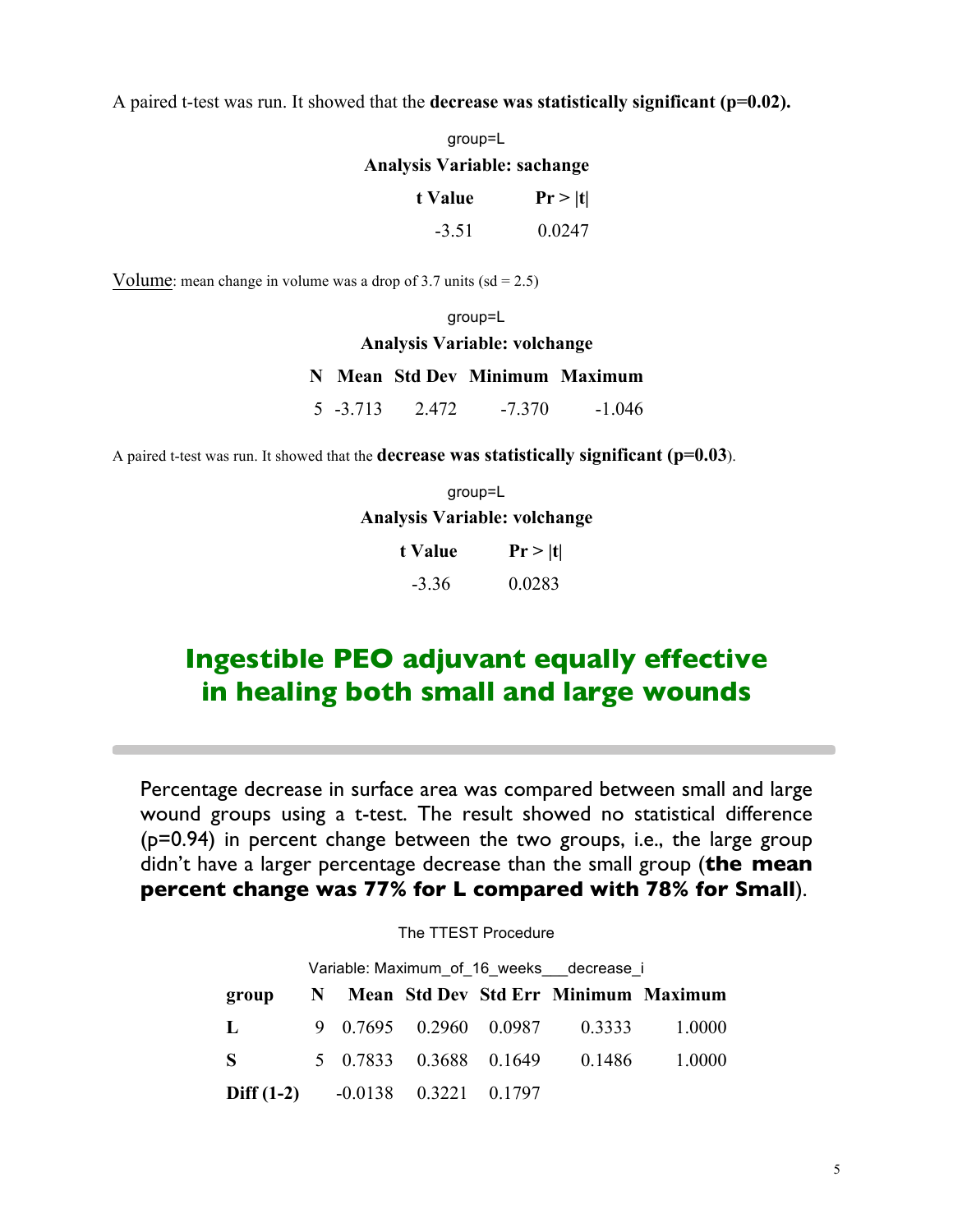A paired t-test was run. It showed that the **decrease was statistically significant (p=0.02).**

| group=L                     |         |  |  |  |
|-----------------------------|---------|--|--|--|
| Analysis Variable: sachange |         |  |  |  |
| t Value                     | Pr >  t |  |  |  |
| -3.51                       | 0.0247  |  |  |  |

Volume: mean change in volume was a drop of 3.7 units  $(sd = 2.5)$ 

group=L

### **Analysis Variable: volchange**

### **N Mean Std Dev Minimum Maximum**

5 -3.713 2.472 -7.370 -1.046

A paired t-test was run. It showed that the **decrease was statistically significant (p=0.03**).

group=L **Analysis Variable: volchange**   $t$  **Value Pr**  $>$   $|t|$ 

| .       | $\mathbf{I}$ |
|---------|--------------|
| $-3.36$ | 0.0283       |

# **Ingestible PEO adjuvant equally effective in healing both small and large wounds**

Percentage decrease in surface area was compared between small and large wound groups using a t-test. The result showed no statistical difference (p=0.94) in percent change between the two groups, i.e., the large group didn't have a larger percentage decrease than the small group (**the mean percent change was 77% for L compared with 78% for Small**).

### The TTEST Procedure

| Variable: Maximum_of_16_weeks__decrease_i     |  |  |  |  |                               |                                        |  |  |
|-----------------------------------------------|--|--|--|--|-------------------------------|----------------------------------------|--|--|
| group                                         |  |  |  |  |                               | N Mean Std Dev Std Err Minimum Maximum |  |  |
| $\mathbf{L}$                                  |  |  |  |  |                               | 9 0.7695 0.2960 0.0987 0.3333 1.0000   |  |  |
| - S                                           |  |  |  |  | 5 0.7833 0.3688 0.1649 0.1486 | 1.0000                                 |  |  |
| <b>Diff (1-2)</b> $-0.0138$ $0.3221$ $0.1797$ |  |  |  |  |                               |                                        |  |  |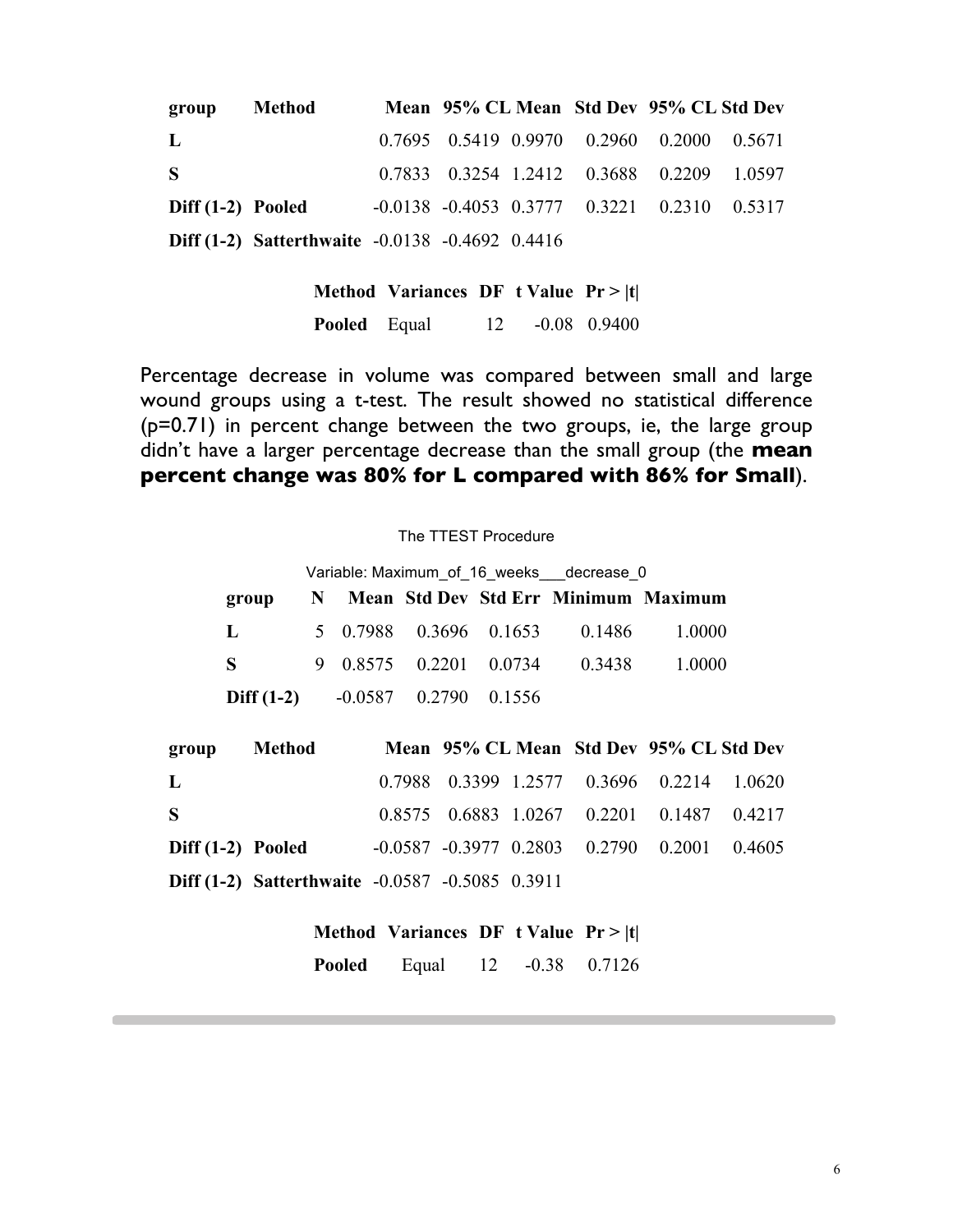| group             | Method                                                   |  | Mean 95% CL Mean Std Dev 95% CL Std Dev                 |  |
|-------------------|----------------------------------------------------------|--|---------------------------------------------------------|--|
| $\mathbf{L}$      |                                                          |  | $0.7695$ $0.5419$ $0.9970$ $0.2960$ $0.2000$ $0.5671$   |  |
| -S                |                                                          |  | 0.7833 0.3254 1.2412 0.3688 0.2209 1.0597               |  |
| Diff (1-2) Pooled |                                                          |  | $-0.0138$ $-0.4053$ $0.3777$ $0.3221$ $0.2310$ $0.5317$ |  |
|                   | <b>Diff (1-2)</b> Satterthwaite $-0.0138 -0.4692 0.4416$ |  |                                                         |  |

**Method Variances DF t Value Pr > |t| Pooled** Equal 12 -0.08 0.9400

Percentage decrease in volume was compared between small and large wound groups using a t-test. The result showed no statistical difference (p=0.71) in percent change between the two groups, ie, the large group didn't have a larger percentage decrease than the small group (the **mean percent change was 80% for L compared with 86% for Small**).

## The TTEST Procedure

|              | Variable: Maximum of 16 weeks decrease 0 |  |                         |  |                               |                                        |  |  |
|--------------|------------------------------------------|--|-------------------------|--|-------------------------------|----------------------------------------|--|--|
| group        |                                          |  |                         |  |                               | N Mean Std Dev Std Err Minimum Maximum |  |  |
| L            |                                          |  |                         |  | 5 0.7988 0.3696 0.1653 0.1486 | 1.0000                                 |  |  |
| S            |                                          |  | 9 0.8575 0.2201 0.0734  |  | 0.3438                        | 1.0000                                 |  |  |
| Diff $(1-2)$ |                                          |  | $-0.0587$ 0.2790 0.1556 |  |                               |                                        |  |  |

| group             | <b>Method</b>                                          |  | Mean 95% CL Mean Std Dev 95% CL Std Dev                 |  |
|-------------------|--------------------------------------------------------|--|---------------------------------------------------------|--|
| $\bf{L}$          |                                                        |  | 0.7988 0.3399 1.2577 0.3696 0.2214 1.0620               |  |
| -S                |                                                        |  | $0.8575$ $0.6883$ $1.0267$ $0.2201$ $0.1487$ $0.4217$   |  |
| Diff (1-2) Pooled |                                                        |  | $-0.0587$ $-0.3977$ $0.2803$ $0.2790$ $0.2001$ $0.4605$ |  |
|                   | <b>Diff (1-2)</b> Satterthwaite -0.0587 -0.5085 0.3911 |  |                                                         |  |

## **Method Variances DF t Value Pr > |t|**

**Pooled** Equal 12 -0.38 0.7126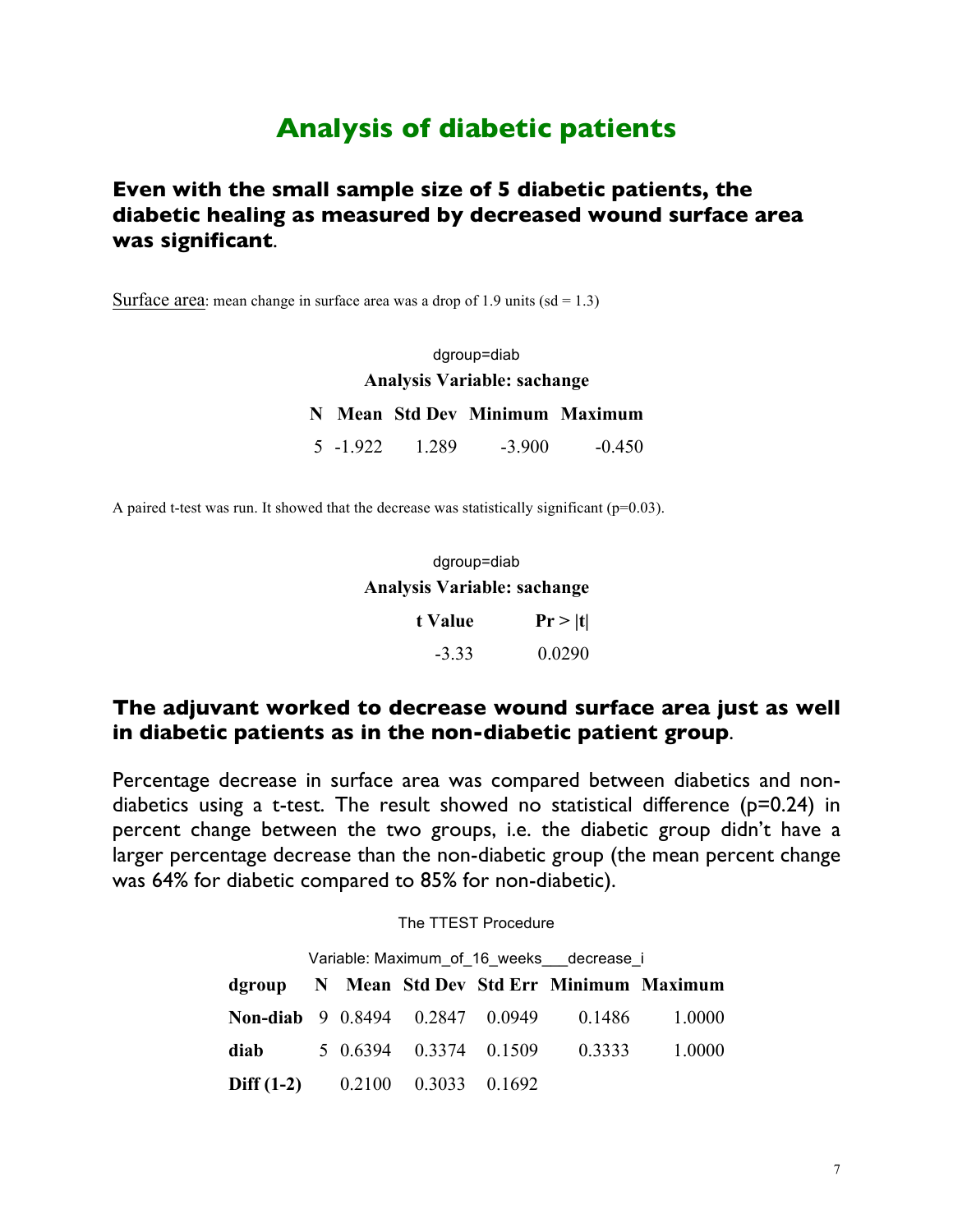# **Analysis of diabetic patients**

## **Even with the small sample size of 5 diabetic patients, the diabetic healing as measured by decreased wound surface area was significant**.

Surface area: mean change in surface area was a drop of 1.9 units  $(sd = 1.3)$ 

dgroup=diab **Analysis Variable: sachange N Mean Std Dev Minimum Maximum** 5 -1.922 1.289 -3.900 -0.450

A paired t-test was run. It showed that the decrease was statistically significant ( $p=0.03$ ).

| dgroup=diab                        |  |  |  |  |  |
|------------------------------------|--|--|--|--|--|
| <b>Analysis Variable: sachange</b> |  |  |  |  |  |

| t Value | Pr >  t |  |  |
|---------|---------|--|--|
| $-3.33$ | 0.0290  |  |  |

## **The adjuvant worked to decrease wound surface area just as well in diabetic patients as in the non-diabetic patient group**.

Percentage decrease in surface area was compared between diabetics and nondiabetics using a t-test. The result showed no statistical difference (p=0.24) in percent change between the two groups, i.e. the diabetic group didn't have a larger percentage decrease than the non-diabetic group (the mean percent change was 64% for diabetic compared to 85% for non-diabetic).

### The TTEST Procedure

| Variable: Maximum of 16 weeks decrease i     |  |  |  |  |  |                                               |  |  |
|----------------------------------------------|--|--|--|--|--|-----------------------------------------------|--|--|
|                                              |  |  |  |  |  | dgroup N Mean Std Dev Std Err Minimum Maximum |  |  |
|                                              |  |  |  |  |  | Non-diab 9 0.8494 0.2847 0.0949 0.1486 1.0000 |  |  |
| diab                                         |  |  |  |  |  | 5 0.6394 0.3374 0.1509 0.3333 1.0000          |  |  |
| <b>Diff (1-2)</b> $0.2100$ $0.3033$ $0.1692$ |  |  |  |  |  |                                               |  |  |